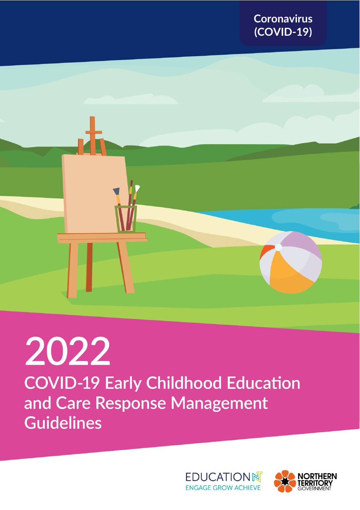



# 2022 **COVID-19 Early Childhood Education** and Care Response Management **Guidelines**



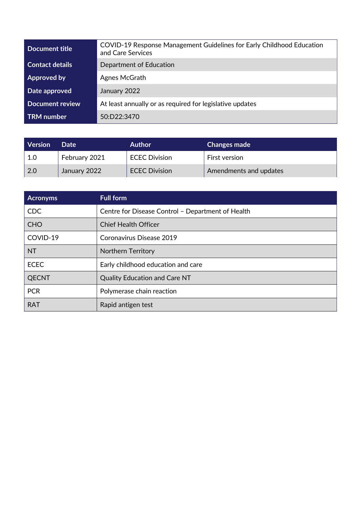| Document title         | COVID-19 Response Management Guidelines for Early Childhood Education<br>and Care Services |  |
|------------------------|--------------------------------------------------------------------------------------------|--|
| <b>Contact details</b> | Department of Education                                                                    |  |
| Approved by            | Agnes McGrath                                                                              |  |
| Date approved          | January 2022                                                                               |  |
| <b>Document review</b> | At least annually or as required for legislative updates                                   |  |
| <b>TRM</b> number      | 50:D22:3470                                                                                |  |

| <b>Version</b> | Date          | <b>Author</b>        | <b>Changes made</b>    |
|----------------|---------------|----------------------|------------------------|
| 1.0            | February 2021 | <b>ECEC Division</b> | First version          |
| -2.0           | January 2022  | <b>ECEC Division</b> | Amendments and updates |

| <b>Acronyms</b> | <b>Full form</b>                                  |  |
|-----------------|---------------------------------------------------|--|
| CDC             | Centre for Disease Control - Department of Health |  |
| <b>CHO</b>      | <b>Chief Health Officer</b>                       |  |
| COVID-19        | Coronavirus Disease 2019                          |  |
| <b>NT</b>       | <b>Northern Territory</b>                         |  |
| <b>ECEC</b>     | Early childhood education and care                |  |
| <b>QECNT</b>    | <b>Quality Education and Care NT</b>              |  |
| <b>PCR</b>      | Polymerase chain reaction                         |  |
| <b>RAT</b>      | Rapid antigen test                                |  |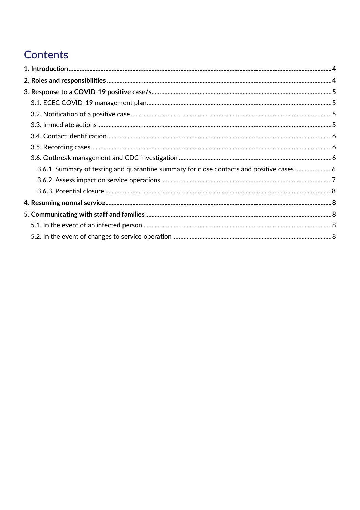# Contents

| 3.6.1. Summary of testing and quarantine summary for close contacts and positive cases  6 |  |
|-------------------------------------------------------------------------------------------|--|
|                                                                                           |  |
|                                                                                           |  |
|                                                                                           |  |
|                                                                                           |  |
|                                                                                           |  |
|                                                                                           |  |
|                                                                                           |  |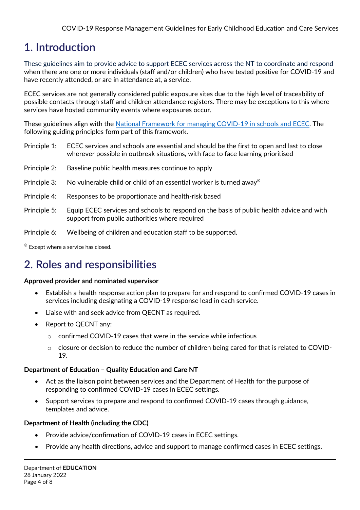# <span id="page-3-0"></span>**1. Introduction**

These guidelines aim to provide advice to support ECEC services across the NT to coordinate and respond when there are one or more individuals (staff and/or children) who have tested positive for COVID-19 and have recently attended, or are in attendance at, a service.

ECEC services are not generally considered public exposure sites due to the high level of traceability of possible contacts through staff and children attendance registers. There may be exceptions to this where services have hosted community events where exposures occur.

These guidelines align with the [National Framework for managing COVID-19 in schools and ECEC.](https://www.pm.gov.au/sites/default/files/media/National%20Framework%20for%20Managing%20COVID-19%20in%20Schools%20and%20Early%20Childhood%20Education%20and%20Care.pdf) The following guiding principles form part of this framework.

- Principle 1: ECEC services and schools are essential and should be the first to open and last to close wherever possible in outbreak situations, with face to face learning prioritised
- Principle 2: Baseline public health measures continue to apply
- Principle 3: No vulnerable child or child of an essential worker is turned away<sup>⊗</sup>
- Principle 4: Responses to be proportionate and health-risk based
- Principle 5: Equip ECEC services and schools to respond on the basis of public health advice and with support from public authorities where required
- Principle 6: Wellbeing of children and education staff to be supported.

<sup>⊗</sup> Except where a service has closed.

# <span id="page-3-1"></span>**2. Roles and responsibilities**

#### **Approved provider and nominated supervisor**

- Establish a health response action plan to prepare for and respond to confirmed COVID-19 cases in services including designating a COVID-19 response lead in each service.
- Liaise with and seek advice from QECNT as required.
- Report to QECNT any:
	- $\circ$  confirmed COVID-19 cases that were in the service while infectious
	- o closure or decision to reduce the number of children being cared for that is related to COVID-19.

#### **Department of Education – Quality Education and Care NT**

- Act as the liaison point between services and the Department of Health for the purpose of responding to confirmed COVID-19 cases in ECEC settings.
- Support services to prepare and respond to confirmed COVID-19 cases through guidance, templates and advice.

#### **Department of Health (including the CDC)**

- Provide advice/confirmation of COVID-19 cases in ECEC settings.
- Provide any health directions, advice and support to manage confirmed cases in ECEC settings.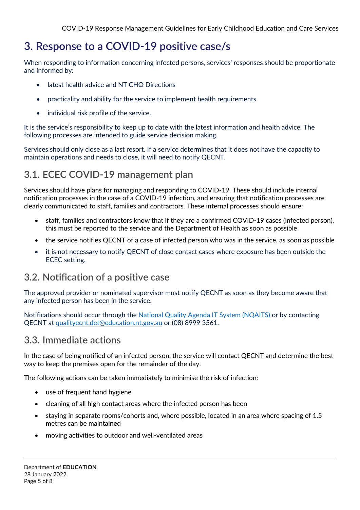# <span id="page-4-0"></span>**3. Response to a COVID-19 positive case/s**

When responding to information concerning infected persons, services' responses should be proportionate and informed by:

- latest health advice and NT CHO Directions
- practicality and ability for the service to implement health requirements
- individual risk profile of the service.

It is the service's responsibility to keep up to date with the latest information and health advice. The following processes are intended to guide service decision making.

Services should only close as a last resort. If a service determines that it does not have the capacity to maintain operations and needs to close, it will need to notify QECNT.

## <span id="page-4-1"></span>**3.1. ECEC COVID-19 management plan**

Services should have plans for managing and responding to COVID-19. These should include internal notification processes in the case of a COVID-19 infection, and ensuring that notification processes are clearly communicated to staff, families and contractors. These internal processes should ensure:

- staff, families and contractors know that if they are a confirmed COVID-19 cases (infected person), this must be reported to the service and the Department of Health as soon as possible
- the service notifies QECNT of a case of infected person who was in the service, as soon as possible
- it is not necessary to notify QECNT of close contact cases where exposure has been outside the ECEC setting.

## <span id="page-4-2"></span>**3.2. Notification of a positive case**

The approved provider or nominated supervisor must notify QECNT as soon as they become aware that any infected person has been in the service.

Notifications should occur through the National Quality [Agenda IT System \(NQAITS\)](https://public.nqaits.acecqa.gov.au/Pages/Landing.aspx) or by contacting QECNT at [qualityecnt.det@education.nt.gov.au](mailto:qualityecnt.det@education.nt.gov.au) or (08) 8999 3561.

#### <span id="page-4-3"></span>**3.3. Immediate actions**

In the case of being notified of an infected person, the service will contact QECNT and determine the best way to keep the premises open for the remainder of the day.

The following actions can be taken immediately to minimise the risk of infection:

- use of frequent hand hygiene
- cleaning of all high contact areas where the infected person has been
- staying in separate rooms/cohorts and, where possible, located in an area where spacing of 1.5 metres can be maintained
- moving activities to outdoor and well-ventilated areas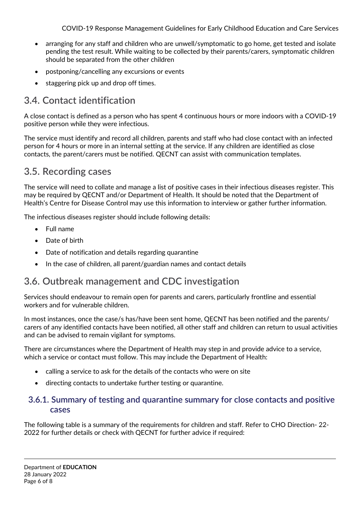COVID-19 Response Management Guidelines for Early Childhood Education and Care Services

- arranging for any staff and children who are unwell/symptomatic to go home, get tested and isolate pending the test result. While waiting to be collected by their parents/carers, symptomatic children should be separated from the other children
- postponing/cancelling any excursions or events
- staggering pick up and drop off times.

## <span id="page-5-0"></span>**3.4. Contact identification**

A close contact is defined as a person who has spent 4 continuous hours or more indoors with a COVID-19 positive person while they were infectious.

The service must identify and record all children, parents and staff who had close contact with an infected person for 4 hours or more in an internal setting at the service. If any children are identified as close contacts, the parent/carers must be notified. QECNT can assist with communication templates.

#### <span id="page-5-1"></span>**3.5. Recording cases**

The service will need to collate and manage a list of positive cases in their infectious diseases register. This may be required by QECNT and/or Department of Health. It should be noted that the Department of Health's Centre for Disease Control may use this information to interview or gather further information.

The infectious diseases register should include following details:

- Full name
- Date of birth
- Date of notification and details regarding quarantine
- In the case of children, all parent/guardian names and contact details

## <span id="page-5-2"></span>**3.6. Outbreak management and CDC investigation**

Services should endeavour to remain open for parents and carers, particularly frontline and essential workers and for vulnerable children.

In most instances, once the case/s has/have been sent home, QECNT has been notified and the parents/ carers of any identified contacts have been notified, all other staff and children can return to usual activities and can be advised to remain vigilant for symptoms.

There are circumstances where the Department of Health may step in and provide advice to a service, which a service or contact must follow. This may include the Department of Health:

- calling a service to ask for the details of the contacts who were on site
- directing contacts to undertake further testing or quarantine.

#### <span id="page-5-3"></span>**3.6.1. Summary of testing and quarantine summary for close contacts and positive cases**

The following table is a summary of the requirements for children and staff. Refer to CHO Direction- 22- 2022 for further details or check with QECNT for further advice if required: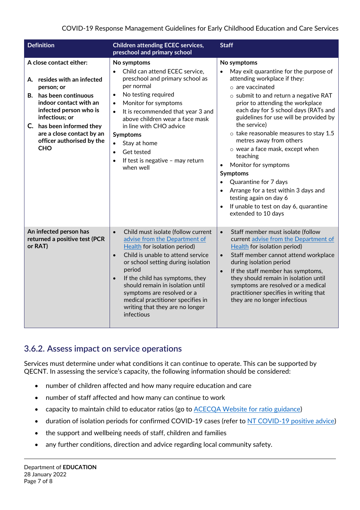| <b>Definition</b>                                                                                                                                                                                                                                                         | <b>Children attending ECEC services,</b><br>preschool and primary school                                                                                                                                                                                                                                                                                                                                                          | <b>Staff</b>                                                                                                                                                                                                                                                                                                                                                                                                                                                                                                                                                                                                       |
|---------------------------------------------------------------------------------------------------------------------------------------------------------------------------------------------------------------------------------------------------------------------------|-----------------------------------------------------------------------------------------------------------------------------------------------------------------------------------------------------------------------------------------------------------------------------------------------------------------------------------------------------------------------------------------------------------------------------------|--------------------------------------------------------------------------------------------------------------------------------------------------------------------------------------------------------------------------------------------------------------------------------------------------------------------------------------------------------------------------------------------------------------------------------------------------------------------------------------------------------------------------------------------------------------------------------------------------------------------|
| A close contact either:<br>A. resides with an infected<br>person; or<br>B. has been continuous<br>indoor contact with an<br>infected person who is<br>infectious; or<br>C. has been informed they<br>are a close contact by an<br>officer authorised by the<br><b>CHO</b> | No symptoms<br>Child can attend ECEC service,<br>$\bullet$<br>preschool and primary school as<br>per normal<br>No testing required<br>$\bullet$<br>Monitor for symptoms<br>$\bullet$<br>It is recommended that year 3 and<br>above children wear a face mask<br>in line with CHO advice<br><b>Symptoms</b><br>Stay at home<br>$\bullet$<br>Get tested<br>$\bullet$<br>If test is negative - may return<br>$\bullet$<br>when well  | No symptoms<br>May exit quarantine for the purpose of<br>attending workplace if they:<br>o are vaccinated<br>o submit to and return a negative RAT<br>prior to attending the workplace<br>each day for 5 school days (RATs and<br>guidelines for use will be provided by<br>the service)<br>$\circ$ take reasonable measures to stay 1.5<br>metres away from others<br>o wear a face mask, except when<br>teaching<br>Monitor for symptoms<br>Symptoms<br>Quarantine for 7 days<br>Arrange for a test within 3 days and<br>testing again on day 6<br>If unable to test on day 6, quarantine<br>extended to 10 days |
| An infected person has<br>returned a positive test (PCR<br>or RAT)                                                                                                                                                                                                        | Child must isolate (follow current<br>$\bullet$<br>advise from the Department of<br><b>Health</b> for isolation period)<br>Child is unable to attend service<br>$\bullet$<br>or school setting during isolation<br>period<br>If the child has symptoms, they<br>$\bullet$<br>should remain in isolation until<br>symptoms are resolved or a<br>medical practitioner specifies in<br>writing that they are no longer<br>infectious | Staff member must isolate (follow<br>$\bullet$<br>current advise from the Department of<br><b>Health</b> for isolation period)<br>Staff member cannot attend workplace<br>$\bullet$<br>during isolation period<br>If the staff member has symptoms,<br>$\bullet$<br>they should remain in isolation until<br>symptoms are resolved or a medical<br>practitioner specifies in writing that<br>they are no longer infectious                                                                                                                                                                                         |

#### <span id="page-6-0"></span>**3.6.2. Assess impact on service operations**

Services must determine under what conditions it can continue to operate. This can be supported by QECNT. In assessing the service's capacity, the following information should be considered:

- number of children affected and how many require education and care
- number of staff affected and how many can continue to work
- capacity to maintain child to educator ratios (go t[o ACECQA Website for ratio guidance\)](https://www.acecqa.gov.au/nqf/educator-to-child-ratios)
- duration of isolation periods for confirmed COVID-19 cases (refer to [NT COVID-19 positive advice\)](https://coronavirus.nt.gov.au/stay-safe/living-with-covid-19/covid-19-positive)
- the support and wellbeing needs of staff, children and families
- any further conditions, direction and advice regarding local community safety.